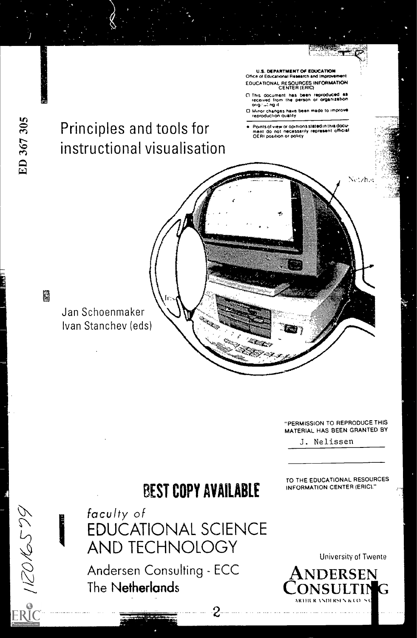

"PERMISSION TO REPRODUCE THIS MATERIAL HAS BEEN GRANTED BY

TO THE EDUCATIONAL RESOURCES INFORMATION CENTER (ERIC)."

J. Nelissen

# BEST COPY AVAILABLE

**ROKS79** 

faculty of EDUCATIONAL SCIENCE AND TECHNOLOGY

Andersen Consulting - ECC The Netherlands

University of Twente

**DERSEN** CONSULTING ARM( It %%DI HSI \ &C()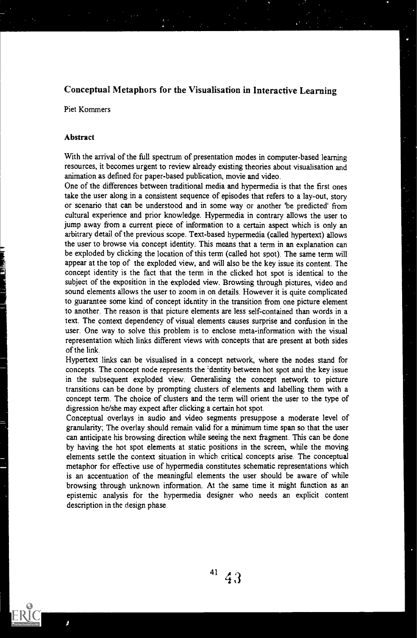## Conceptual Metaphors for the Visualisation in Interactive Learning

Piet Kommers

## Abstract

With the arrival of the full spectrum of presentation modes in computer-based learning resources, it becomes urgent to review already existing theories about visualisation and animation as defined for paper-based publication, movie and video.

One of the differences between traditional media and hypermedia is that the first ones take the user along in a consistent sequence of episodes that refers to a lay-out, story or scenario that can be understood and in some way or another 'be predicted' from cultural experience and prior knowledge. Hypermedia in contrary allows the user to jump away from a current piece of information to a certain aspect which is only an arbitrary detail of the previous scope. Text-based hypermedia (called hypertext) allows the user to browse via concept identity. This means that a term in an explanation can be exploded by clicking the location of this term (called hot spot). The same term will appear at the top of the exploded view, and will also be the key issue its content. The concept identity is the fact that the term in the clicked hot spot is identical to the subject of the exposition in the exploded view. Browsing through pictures, video and sound elements allows the user to zoom in on details. However it is quite complicated to guarantee some kind of concept identity in the transition from one picture element to another. The reason is that picture elements are less self-contained than words in a text. The context dependency of visual elements causes surprise and confusion in the user. One way to solve this problem is to enclose meta-information with the visual representation which links different views with concepts that are present at both sides of the link.

Hypertext links can be visualised in a concept network, where the nodes stand for concepts. The concept node represents the 'dentity between hot spot and the key issue in the subsequent exploded view. Generalising the concept network to picture transitions can be done by prompting clusters of elements and labelling them with a concept term. The choice of clusters and the term will orient the user to the type of digression he/she may expect after clicking a certain hot spot.

Conceptual overlays in audio and video segments presuppose a moderate level of granularity; The overlay should remain valid for a minimum time span so that the user can anticipate his browsing direction while seeing the next fragment. This can be done by having the hot spot elements at static positions in the screen, while the moving elements settle the context situation in which critical concepts arise The conceptual metaphor for effective use of hypermedia constitutes schematic representations which is an accentuation of the meaningful elements the user should be aware of while browsing through unknown information. At the same time it might function as an episternic analysis for the hypermedia designer who needs an explicit content description in the design phase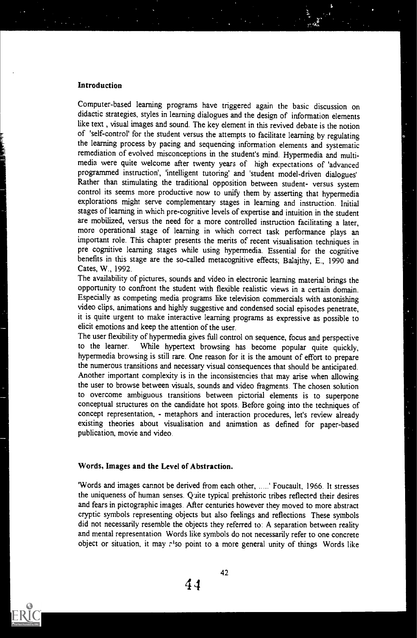### Introduction

Computer-based learning programs have triggered again the basic discussion on didactic strategies, styles in learning dialogues and the design of information elements like text, visual images and sound. The key element in this revived debate is the notion of 'self-control' for the student versus the attempts to facilitate learning by regulating the learning process by pacing and sequencing information elements and systematic remediation of evolved misconceptions in the student's mind. Hypermedia and multimedia were quite welcome after twenty years of high expectations of 'advanced programmed instruction', 'intelligent tutoring' and 'student model-driven dialogues' Rather than stimulating the traditional opposition between student- versus system control its seems more productive now to unify them by asserting that hypermedia explorations might serve complementary stages in learning and instruction. Initial stages of learning in which pre-cognitive levels of expertise and intuition in the student are mobilized, versus the need for a more controlled instruction facilitating a later, more operational stage of learning in which correct task performance plays an important role. This chapter presents the merits of recent visualisation techniques in pre cognitive learning stages while using hypermedia. Essential for the cognitive benefits in this stage are the so-called metacognitive effects; Balajthy, E., 1990 and Cates, W., 1992.

The availability of pictures, sounds and video in electronic learning material brings the opportunity to confront the student with flexible realistic views in a certain domain. Especially as competing media programs like television commercials with astonishing video clips, animations and highly suggestive and condensed social episodes penetrate, it is quite urgent to make interactive learning programs as expressive as possible to elicit emotions and keep the attention of the user.

The user flexibility of hypermedia gives full control on sequence, focus and perspective to the learner. While hypertext browsing has become popular quite quickly, hypermedia browsing is still rare. One reason for it is the amount of effort to prepare the numerous transitions and necessary visual consequences that should be anticipated. Another important complexity is in the inconsistencies that may arise when allowing the user to browse between visuals, sounds and video fragments. The chosen solution to overcome ambiguous transitions between pictorial elements is to superpone conceptual structures on the candidate hot spots. Before going into the techniques of concept representation, - metaphors and interaction procedures, let's review already existing theories about visualisation and animation as defined for paper-based publication, movie and video.

## Words, Images and the Level of Abstraction.

'Words and images cannot be derived from each other, .....' Foucault, 1966. It stresses the uniqueness of human senses. Quite typical prehistoric tribes reflected their desires and fears in pictographic images. After centuries however they moved to more abstract cryptic symbols representing objects but also feelings and reflections These symbols did not necessarily resemble the objects they referred to: A separation between reality and mental representation Words like symbols do not necessarily refer to one concrete object or situation, it may r'so point to a more general unity of things Words like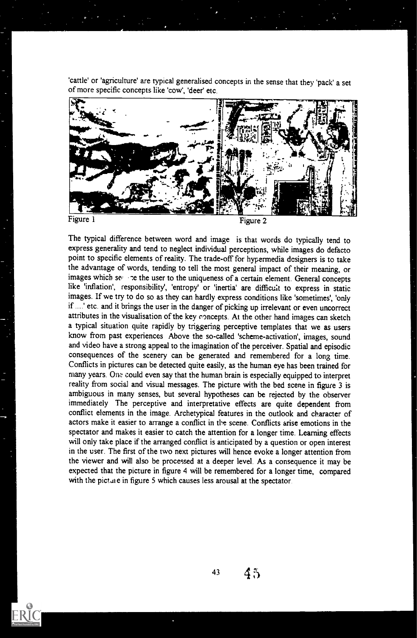'cattle' or 'agriculture' are typical generalised concepts in the sense that they 'pack' a set of more specific concepts like 'cow', 'deer' etc.



The typical difference between word and image is that words do typically tend to express generality and tend to neglect individual perceptions, while images do defacto point to specific elements of reality. The trade-off for hypermedia designers is to take the advantage of words, tending to tell the most general impact of their meaning, or images which setting the user to the uniqueness of a certain element. General concepts like 'inflation', responsibility', 'entropy' or 'inertia' are difficult to express in static images. If we try to do so as they can hardly express conditions like 'sometimes', 'only if ....' etc. and it brings the user in the danger of picking up irrelevant or even uncorrect attributes in the visualisation of the key concepts. At the other hand images can sketch a typical situation quite rapidly by triggering perceptive templates that we as users know from past experiences Above the so-called 'scheme-activation', images, sound and video have a strong appeal to the imagination of the perceiver. Spatial and episodic consequences of the scenery can be generated and remembered for a long time. Conflicts in pictures can be detected quite easily, as the human eye has been trained for many years. One could even say that the human brain is especially equipped to interpret reality from social and visual messages. The picture with the bed scene in figure 3 is ambiguous in many senses, but several hypotheses can be rejected by the observer immediately The perceptive and interpretative effects are quite dependent from conflict elements in the image. Archetypical features in the outlook and character of actors make it easier to arrange a conflict in the scene. Conflicts arise emotions in the spectator and makes it easier to catch the attention for a longer time. Learning effects will only take place if the arranged conflict is anticipated by a question or open interest in the user. The first of the two next pictures will hence evoke a longer attention from the viewer and will also be processed at a deeper level. As a consequence it may be expected that the picture in figure 4 will be remembered for a longer time, compared with the picture in figure 5 which causes less arousal at the spectator.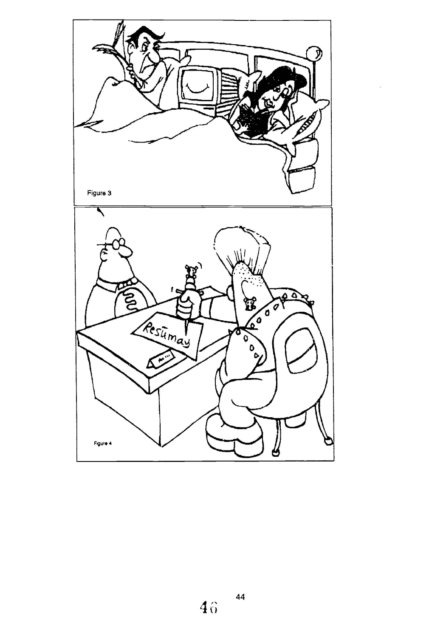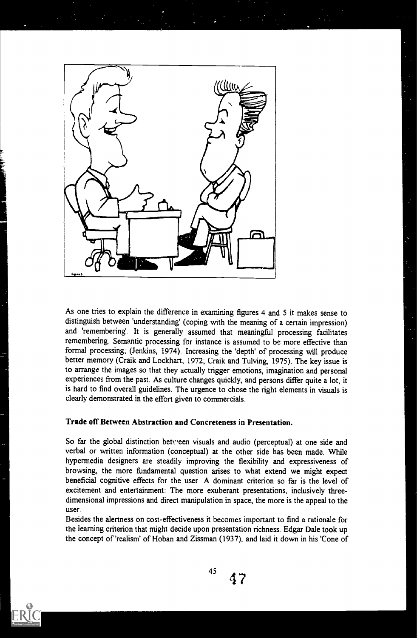

As one tries to explain the difference in examining figures 4 and 5 it makes sense to distinguish between 'understanding' (coping with the meaning of a certain impression) and 'remembering'. It is generally assumed that meaningful processing facilitates remembering. Semantic processing for instance is assumed to be more effective than formal processing; (Jenkins, 1974). Increasing the 'depth' of processing will produce better memory (Craik and Lockhart, 1972; Craik and Tulving, 1975). The key issue is to arrange the images so that they actually trigger emotions, imagination and personal experiences from the past. As culture changes quickly, and persons differ quite a lot, it is hard to find overall guidelines. The urgence to chose the right elements in visuals is clearly demonstrated in the effort given to commercials.

## Trade off Between Abstraction and Concreteness in Presentation.

So far the global distinction between visuals and audio (perceptual) at one side and verbal or written information (conceptual) at the other side has been made. While hypermedia designers are steadily improving the flexibility and expressiveness of browsing, the more fundamental question arises to what extend we might expect beneficial cognitive effects for the user. A dominant criterion so far is the level of excitement and entertainment: The more exuberant presentations, inclusively threedimensional impressions and direct manipulation in space, the more is the appeal to the user.

Besides the alertness on cost-effectiveness it becomes important to find a rationale for the learning criterion that might decide upon presentation richness. Edgar Dale took up the concept of 'realism' of Hoban and Zissman (1937), and laid it down in his 'Cone of

45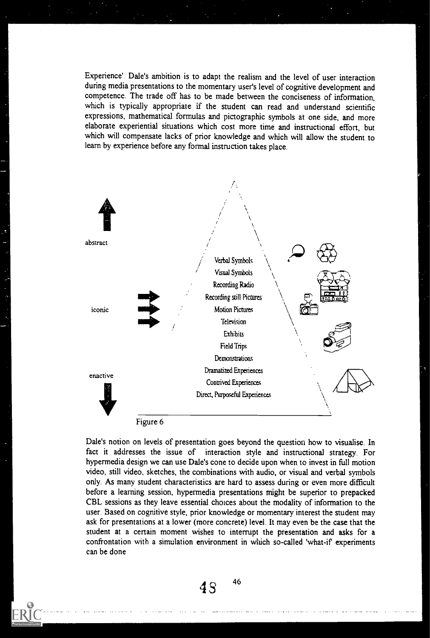Experience'. Dale's ambition is to adapt the realism and the level of user interaction during media presentations to the momentary user's level of cognitive development and competence. The trade off has to be made between the conciseness of information, which is typically appropriate if the student can read and understand scientific expressions, mathematical formulas and pictographic symbols at one side, and more elaborate experiential situations which cost more time and instructional effort, but which will compensate lacks of prior knowledge and which will allow the student to learn by experience before any formal instruction takes place.



Dale's notion on levels of presentation goes beyond the question how to visualise. In fact it addresses the issue of interaction style and instructional strategy. For hypermedia design we can use Dale's cone to decide upon when to invest in full motion video, still video, sketches, the combinations with audio, or visual and verbal symbols only. As many student characteristics are hard to assess during or even more difficult before a learning session, hypermedia presentations might be superior to prepacked CBL sessions as they leave essential choices about the modality of information to the user. Based on cognitive style, prior knowledge or momentary interest the student may ask for presentations at a lower (more concrete) level. It may even be the case that the student at a certain moment wishes to interrupt the presentation and asks for a confrontation with a simulation environment in which so-called 'what-if experiments can be done

 $4S^{-46}$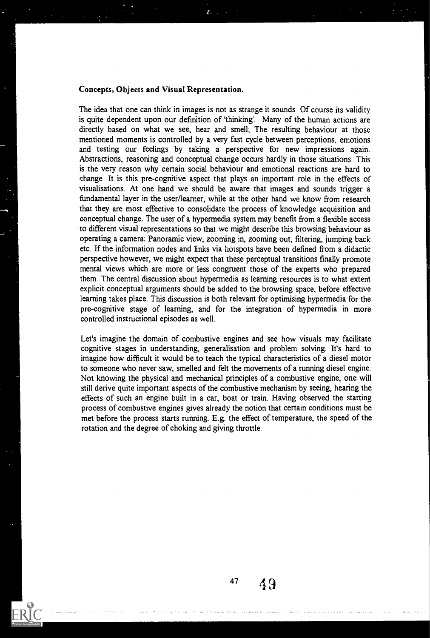#### Concepts, Objects and Visual Representation.

The idea that one can think in images is not as strange it sounds Of course its validity is quite dependent upon our definition of 'thinking'. Many of the human actions are directly based on what we see, hear and smell; The resulting behaviour at those mentioned moments is controlled by a very fast cycle between perceptions, emotions and testing our feelings by taking a perspective for new impressions again. Abstractions, reasoning and conceptual change occurs hardly in those situations This is the very reason why certain social behaviour and emotional reactions are hard to change. It is this pre-cognitive aspect that plays an important role in the effects of visualisations. At one hand we should be aware that images and sounds trigger a fundamental layer in the user/learner, while at the other hand we know from research that they are most effective to consolidate the process of knowledge acquisition and conceptual change. The user of a hypermedia system may benefit from a flexible access to different visual representations so that we might describe this browsing behaviour as operating a camera: Panoramic view, zooming in, zooming out, filtering, jumping back etc. If the information nodes and links via hotspots have been defined from a didactic perspective however, we might expect that these perceptual transitions finally promote mental views which are more or less congruent those of the experts who prepared them. The central discussion about hypermedia as learning resources is to what extent explicit conceptual arguments should be added to the browsing space, before effective learning takes place. This discussion is both relevant for optimising hypermedia for the pre-cognitive stage of learning, and for the integration of hypermedia in more controlled instructional episodes as well.

Let's imagine the domain of combustive engines and see how visuals may facilitate cognitive stages in understanding, generalisation and problem solving. It's hard to imagine how difficult it would be to teach the typical characteristics of a diesel motor to someone who never saw, smelled and felt the movements of a running diesel engine. Not knowing the physical and mechanical principles of a combustive engine, one will still derive quite important aspects of the combustive mechanism by seeing, hearing the effects of such an engine built in a car, boat or train. Having observed the starting process of combustive engines gives already the notion that certain conditions must be met before the process starts running. E.g. the effect of temperature, the speed of the rotation and the degree of choking and giving throttle.

 $47 \quad 49$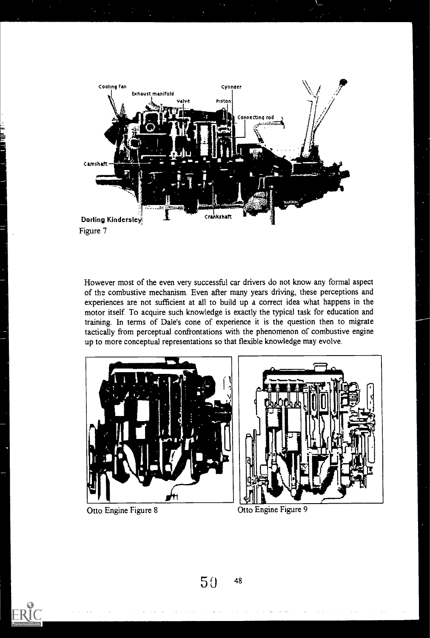

However most of the even very successful car drivers do not know any formal aspect of the combustive mechanism. Even after many years driving, these perceptions and experiences are not sufficient at all to build up a correct idea what happens in the motor itself. To acquire such knowledge is exactly the typical task for education and training. In terms of Dale's cone of experience it is the question then to migrate tactically from perceptual confrontations with the phenomenon of combustive engine up to more conceptual representations so that flexible knowledge may evolve.





Otto Engine Figure 8 Otto Engine Figure 9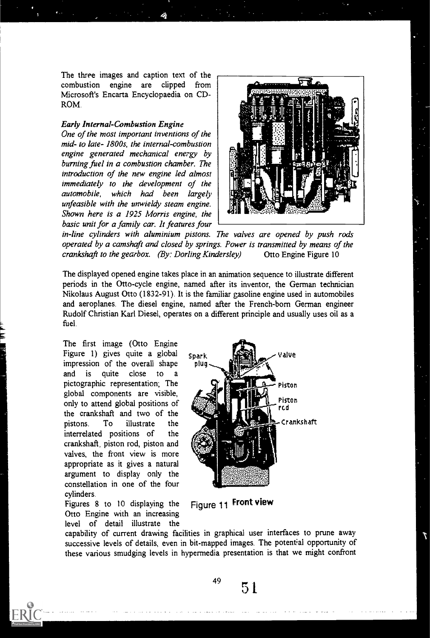The three images and caption text of the combustion engine are clipped from Microsoft's Encarta Encyclopaedia on CD-ROM.

#### Early Internal-Combustion Engine

One of the most important inventions of the mid- to late- 1800s, the internal-combustion engine generated mechanical energy by burning fuel in a combustion chamber. The introduction of the new engine led almost immediately to the development of the automobile, which had been largely unfeasible with the unwieldy steam engine. Shown here is a 1925 Morris engine, the basic unit for a family car. It features four



in-line cylinders with aluminium pistons. The valves are opened by push rods operated by a camshaft and closed by springs. Power is transmitted by means of the crankshaft to the gearbox. (By: Dorling Kindersley) Otto Engine Figure 10

The displayed opened engine takes place in an animation sequence to illustrate different periods in the Otto-cycle engine, named after its inventor, the German technician Nikolaus August Otto (1832-91). It is the familiar gasoline engine used in automobiles and aeroplanes. The diesel engine, named after the French-born German engineer Rudolf Christian Karl Diesel, operates on a different principle and usually uses oil as a fuel.

The first image (Otto Engine Figure 1) gives quite a global  $_{\text{spark}}$  spark value impression of the overall shape and is quite close to a pictographic representation; The Piston global components are visible, only to attend global positions of **the state of the state of the state of the state of the state of the state of the state of the state of the state of the state of the state of the state of the state of the state of the** interrelated positions of the crankshaft, piston rod, piston and valves, the front view is more appropriate as it gives a natural argument to display only the constellation in one of the four cylinders.

Figures 8 to 10 displaying the Otto Engine with an increasing level of detail illustrate the



Figure 11 Front view

capability of current drawing facilities in graphical user interfaces to prune away successive levels of details, even in bit-mapped images. The potential opportunity of these various smudging levels in hypermedia presentation is that we might confront

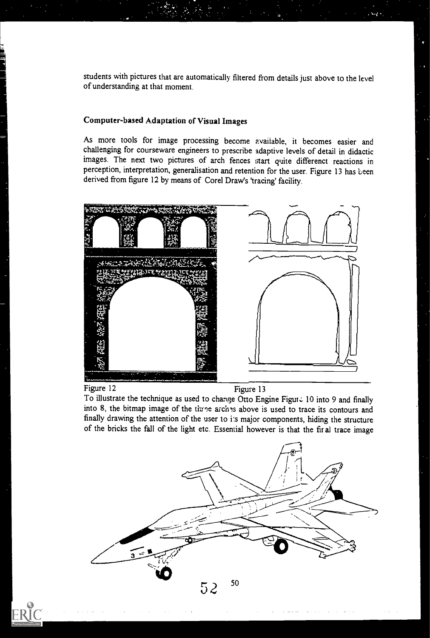students with pictures that are automatically filtered from details just above to the level of understanding at that moment

## Computer-based Adaptation of Visual Images

As more tools for image processing become available, it becomes easier and challenging for courseware engineers to prescribe adaptive levels of detail in didactic images. The next two pictures of arch fences start quite differenct reactions in perception, interpretation, generalisation and retention for the user. Figure 13 has been derived from figure 12 by means of Corel Draw's 'tracing' facility.



Figure 12 Figure 13

To illustrate the technique as used to change Otto Engine Figure 10 into 9 and finally into 8, the bitmap image of the three arches above is used to trace its contours and finally drawing the attention of the user to i's major components, hiding the structure of the bricks the fall of the light etc. Essential however is that the fir al trace image

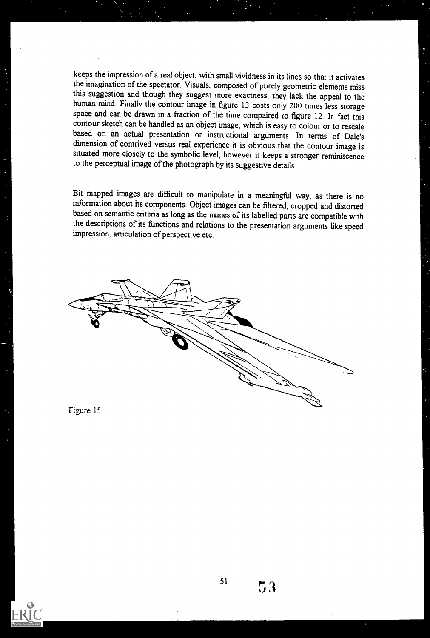keeps the impression of a real object, with small vividness in its lines so that it activates the imagination of the spectator. Visuals, composed of purely geometric elements miss this suggestion and though they suggest more exactness, they lack the appeal to the human mind. Finally the contour image in figure 13 costs only 200 times less storage space and can be drawn in a fraction of the time compaired to figure 12. In fact this contour sketch can be handled as an object image, which is easy to colour or to rescale based on an actual presentation or instructional arguments. In terms of Dale's dimension of contrived versus real experience it is obvious that the contour image is situated more closely to the symbolic level, however it keeps a stronger reminiscence to the perceptual image of the photograph by its suggestive details.

Bit mapped images are difficult to manipulate in a meaningful way, as there is no information about its components. Object images can be filtered, cropped and distorted based on semantic criteria as long as the names of its labelled parts are compatible with the descriptions of its functions and relations to the presentation arguments like speed impression, articulation of perspective etc.



F:gure 15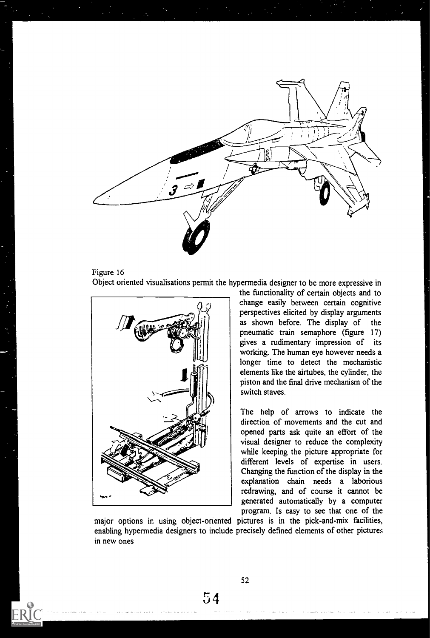





the functionality of certain objects and to change easily between certain cognitive perspectives elicited by display arguments as shown before. The display of the pneumatic train semaphore (figure 17) gives a rudimentary impression of its working. The human eye however needs a longer time to detect the mechanistic elements like the airtubes, the cylinder, the piston and the final drive mechanism of the switch staves.

The help of arrows to indicate the direction of movements and the cut and opened parts ask quite an effort of the visual designer to reduce the complexity while keeping the picture appropriate for different levels of expertise in users. Changing the function of the display in the explanation chain needs a laborious redrawing, and of course it cannot be generated automatically by a computer program. Is easy to see that one of the

major options in using object-onented pictures is in the pick-and-mix facilities, enabling hypermedia designers to include precisely defined elements of other pictures in new ones

52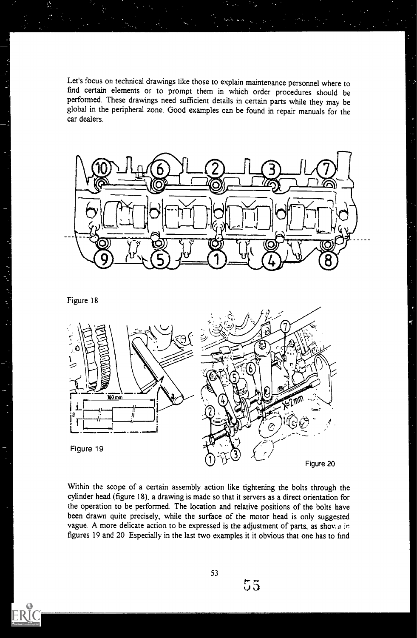Let's focus on technical drawings like those to explain maintenance personnel where to find certain elements or to prompt them in which order procedures should be performed. These drawings need sufficient details in certain parts while they may be global in the peripheral zone. Good examples can be found in repair manuals for the car dealers.



Figure 18



Within the scope of a certain assembly action like tightening the bolts through the cylinder head (figure 18), a drawing is made so that it servers as a direct orientation for the operation to be performed. The location and relative positions of the bolts have been drawn quite precisely, while the surface of the motor head is only suggested vague. A more delicate action to be expressed is the adjustment of parts, as shown in figures 19 and 20 Especially in the last two examples it it obvious that one has to hnd

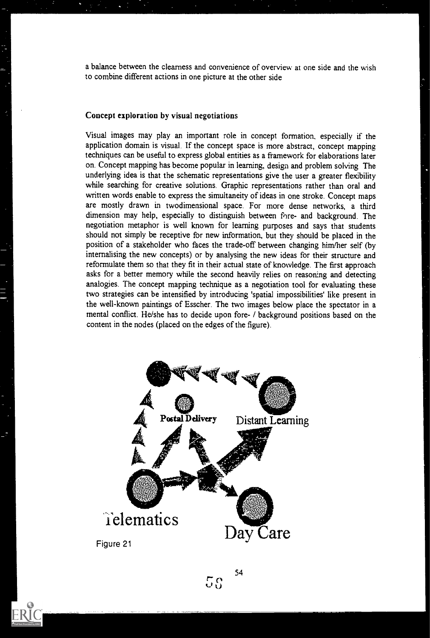a balance between the clearness and convenience of overview at one side and the wish to combine different actions in one picture at the other side

## Concept exploration by visual negotiations

Visual images may play an important role in concept formation, especially if the application domain is visual. If the concept space is more abstract, concept mappine techniques can be useful to express global entities as a framework for elaborations later on. Concept mapping has become popular in learning, design and problem solving The underlying idea is that the schematic representations give the user a greater flexibility while searching for creative solutions. Graphic representations rather than oral and written words enable to express the simultaneity of ideas in one stroke. Concept maps are mostly drawn in twodimensional space. For more dense networks, a third dimension may help, especially to distinguish between fore- and background. The negotiation metaphor is well known for learning purposes and says that students should not simply be receptive for new information, but they should be placed in the position of a stakeholder who faces the trade-off between changing him/her self (by internalising the new concepts) or by analysing the new ideas for their structure and reformulate them so that they fit in their actual state of knowledge. The first approach asks for a better memory while the second heavily relies on reasoning and detecting analogies. The concept mapping technique as a negotiation tool for evaluating these two strategies can be intensified by introducing 'spatial impossibilities' like present in the well-known paintings of Esscher. The two images below place the spectator in a mental conflict. He/she has to decide upon fore- / background positions based on the content in the nodes (placed on the edges of the figure).

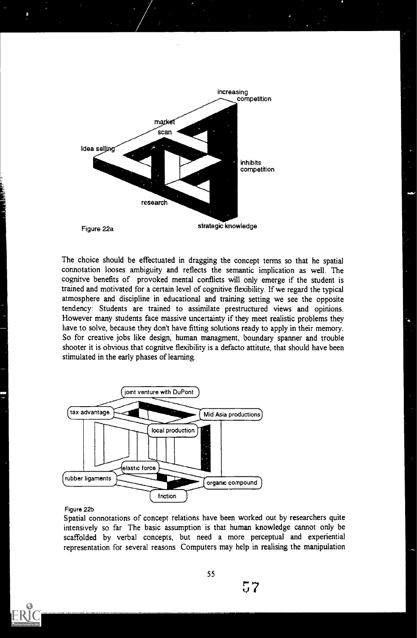

The choice should be effectuated in dragging the concept terms so that he spatial connotation looses ambiguity and reflects the semantic implication as well. The cognitve benefits of provoked mental conflicts will only emerge if the student is trained and motivated for a certain level of cognitive flexibility. If we regard the typical atmosphere and discipline in educational and training setting we see the opposite tendency: Students are trained to assimilate prestructured views and opinions. However many students face massive uncertainty if they meet realistic problems they have to solve, because they don't have fitting solutions ready to apply in their memory. So for creative jobs like design, human managment, boundary spanner and trouble shooter it is obvious that cognitve flexibility is a defacto attitute, that should have been stimulated in the early phases of learning.



Figure 22b

Spatial connotations of concept relations have been worked out by researchers quite intensively so far The basic assumption is that human knowledge cannot only be scaffolded by verbal concepts, but need a more perceptual and experiential representation for several reasons Computers may help in realising the manipulation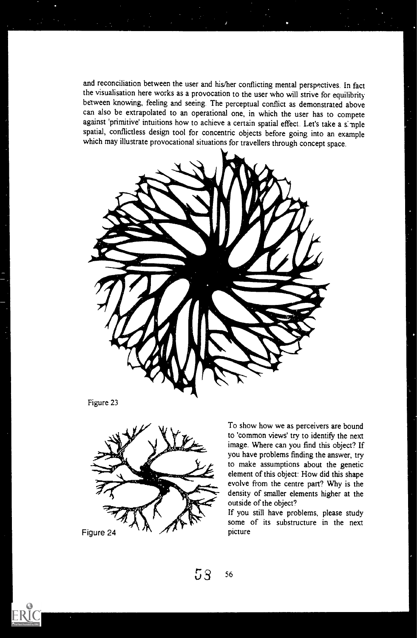and reconciliation between the user and his/her conflicting mental perspectives. In fact the visualisation here works as a provocation to the user who will strive for equilibrity between knowing, feeling and seeing The perceptual conflict as demonstrated above can also be extrapolated to an operational one, in which the user has to compete against 'primitive' intuitions how to achieve a certain spatial effect. Let's take a simple spatial, conflictless design tool for concentric objects before going into an example which may illustrate provocational situations for travellers through concept space.



Figure 23



Figure 24

To show how we as perceivers are bound to 'common views' try to identify the next image. Where can you find this object? If you have problems finding the answer, try to make assumptions about the genetic element of this object: How did this shape evolve from the centre part? Why is the density of smaller elements higher at the outside of the object?

If you still have problems, please study some of its substructure in the next picture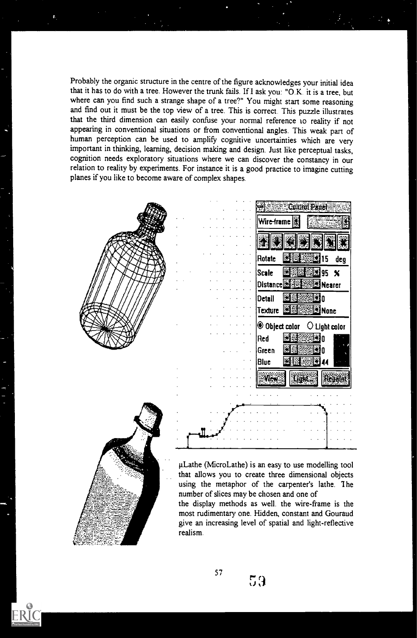Probably the organic structure in the centre of the figure acknowledges your initial idea that it has to do with a tree. However the trunk fails. If I ask you: "O.K. it is a tree, but where can you find such a strange shape of a tree?" You might start some reasoning and find out it must be the top view of a tree. This is correct. This puzzle illustrates that the third dimension can easily confuse your normal reference to reality if not appearing in conventional situations or from conventional angles. This weak part of human perception can be used to amplify cognitive uncertainties which are very important in thinking, learning, decision making and design. Just like perceptual tasks, cognition needs exploratory situations where we can discover the constancy in our relation to reality by experiments. For instance it is a good practice to imagine cutting planes if you like to become aware of complex shapes.



the display methods as well, the wire-frame is the most rudimentary one. Hidden, constant and Gouraud give an increasing level of spatial and light-reflective realism.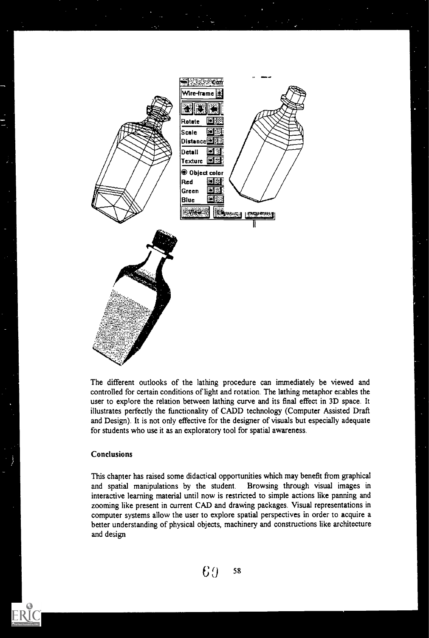

The different outlooks of the lathing procedure can immediately be viewed and controlled for certain conditions of light and rotation. The lathing metaphor enables the user to explore the relation between lathing curve and its final effect in 3D space. It illustrates perfectly the functionality of CADD technology (Computer Assisted Draft and Design). It is not only effective for the designer of visuals but especially adequate for students who use it as an exploratory tool for spatial awareness.

## Conclusions

This chapter has raised some didactical opportunities which may benefit from graphical and spatial manipulations by the student. Browsing through visual images in interactive learning material until now is restricted to simple actions like panning and zooming like present in current CAD and drawing packages. Visual representations in computer systems allow the user to explore spatial perspectives in order to acquire a better understanding of physical objects, machinery and constructions like architecture and design